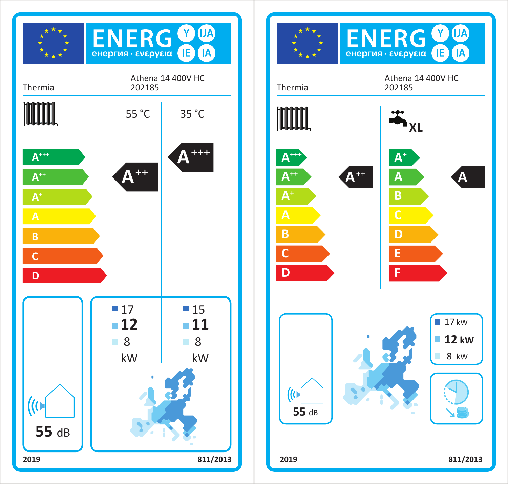

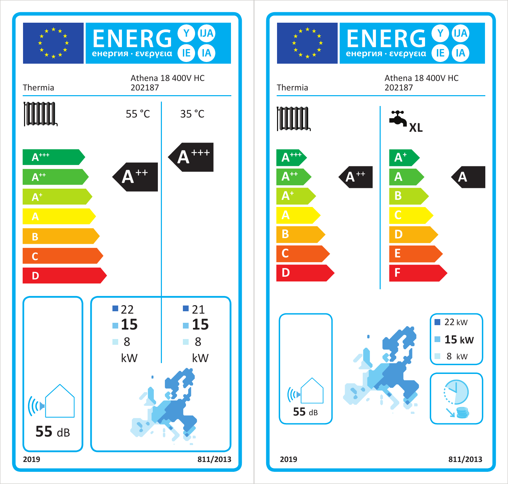

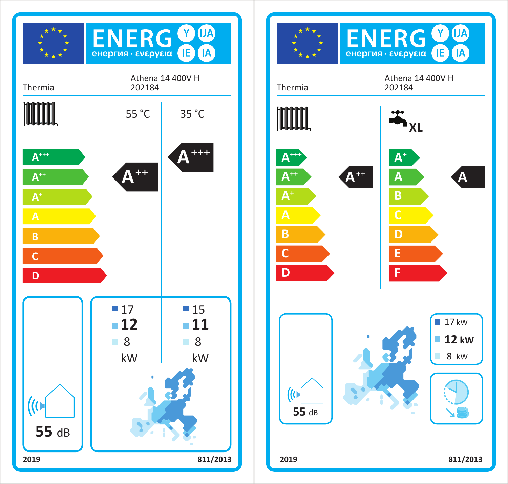